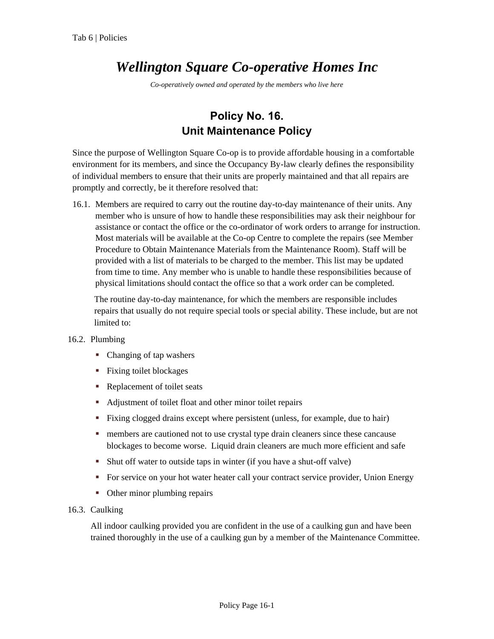## *Wellington Square Co-operative Homes Inc*

*Co-operatively owned and operated by the members who live here*

## **Policy No. 16. Unit Maintenance Policy**

Since the purpose of Wellington Square Co-op is to provide affordable housing in a comfortable environment for its members, and since the Occupancy By-law clearly defines the responsibility of individual members to ensure that their units are properly maintained and that all repairs are promptly and correctly, be it therefore resolved that:

16.1. Members are required to carry out the routine day-to-day maintenance of their units. Any member who is unsure of how to handle these responsibilities may ask their neighbour for assistance or contact the office or the co-ordinator of work orders to arrange for instruction. Most materials will be available at the Co-op Centre to complete the repairs (see Member Procedure to Obtain Maintenance Materials from the Maintenance Room). Staff will be provided with a list of materials to be charged to the member. This list may be updated from time to time. Any member who is unable to handle these responsibilities because of physical limitations should contact the office so that a work order can be completed.

The routine day-to-day maintenance, for which the members are responsible includes repairs that usually do not require special tools or special ability. These include, but are not limited to:

## 16.2. Plumbing

- Changing of tap washers
- **Fixing toilet blockages**
- Replacement of toilet seats
- Adjustment of toilet float and other minor toilet repairs
- Fixing clogged drains except where persistent (unless, for example, due to hair)
- **n** members are cautioned not to use crystal type drain cleaners since these cancause blockages to become worse. Liquid drain cleaners are much more efficient and safe
- Shut off water to outside taps in winter (if you have a shut-off valve)
- For service on your hot water heater call your contract service provider, Union Energy
- Other minor plumbing repairs
- 16.3. Caulking

All indoor caulking provided you are confident in the use of a caulking gun and have been trained thoroughly in the use of a caulking gun by a member of the Maintenance Committee.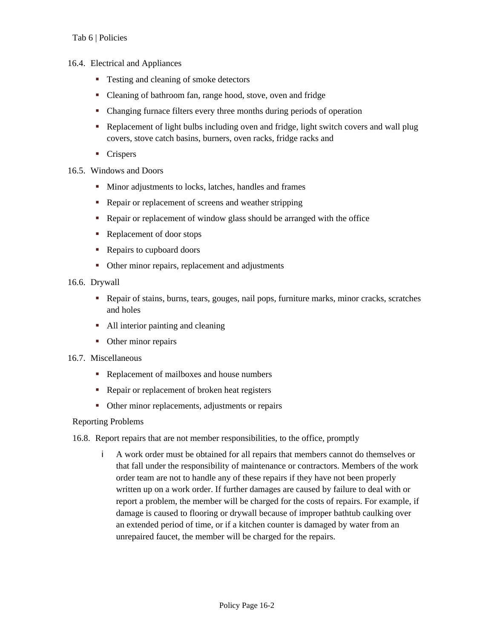- 16.4. Electrical and Appliances
	- Testing and cleaning of smoke detectors
	- Cleaning of bathroom fan, range hood, stove, oven and fridge
	- Changing furnace filters every three months during periods of operation
	- Replacement of light bulbs including oven and fridge, light switch covers and wall plug covers, stove catch basins, burners, oven racks, fridge racks and
	- **Crispers**
- 16.5. Windows and Doors
	- **Minor adjustments to locks, latches, handles and frames**
	- Repair or replacement of screens and weather stripping
	- Repair or replacement of window glass should be arranged with the office
	- Replacement of door stops
	- Repairs to cupboard doors
	- Other minor repairs, replacement and adjustments
- 16.6. Drywall
	- Repair of stains, burns, tears, gouges, nail pops, furniture marks, minor cracks, scratches and holes
	- All interior painting and cleaning
	- Other minor repairs
- 16.7. Miscellaneous
	- Replacement of mailboxes and house numbers
	- Repair or replacement of broken heat registers
	- Other minor replacements, adjustments or repairs

## Reporting Problems

16.8. Report repairs that are not member responsibilities, to the office, promptly

i A work order must be obtained for all repairs that members cannot do themselves or that fall under the responsibility of maintenance or contractors. Members of the work order team are not to handle any of these repairs if they have not been properly written up on a work order. If further damages are caused by failure to deal with or report a problem, the member will be charged for the costs of repairs. For example, if damage is caused to flooring or drywall because of improper bathtub caulking over an extended period of time, or if a kitchen counter is damaged by water from an unrepaired faucet, the member will be charged for the repairs.